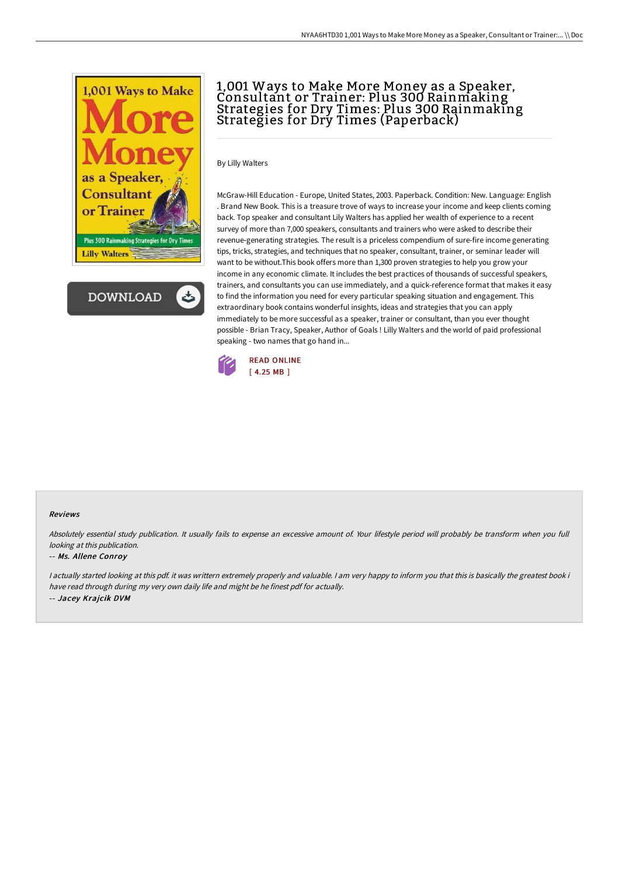



# 1,001 Ways to Make More Money as a Speaker, Consultant or Trainer: Plus 300 Rainmaking Strategies for Dry Times: Plus 300 Rainmaking Strategies for Dry Times (Paperback)

By Lilly Walters

McGraw-Hill Education - Europe, United States, 2003. Paperback. Condition: New. Language: English . Brand New Book. This is a treasure trove of ways to increase your income and keep clients coming back. Top speaker and consultant Lily Walters has applied her wealth of experience to a recent survey of more than 7,000 speakers, consultants and trainers who were asked to describe their revenue-generating strategies. The result is a priceless compendium of sure-fire income generating tips, tricks, strategies, and techniques that no speaker, consultant, trainer, or seminar leader will want to be without.This book offers more than 1,300 proven strategies to help you grow your income in any economic climate. It includes the best practices of thousands of successful speakers, trainers, and consultants you can use immediately, and a quick-reference format that makes it easy to find the information you need for every particular speaking situation and engagement. This extraordinary book contains wonderful insights, ideas and strategies that you can apply immediately to be more successful as a speaker, trainer or consultant, than you ever thought possible - Brian Tracy, Speaker, Author of Goals ! Lilly Walters and the world of paid professional speaking - two names that go hand in...



### Reviews

Absolutely essential study publication. It usually fails to expense an excessive amount of. Your lifestyle period will probably be transform when you full looking at this publication.

#### -- Ms. Allene Conroy

<sup>I</sup> actually started looking at this pdf. it was writtern extremely properly and valuable. <sup>I</sup> am very happy to inform you that this is basically the greatest book i have read through during my very own daily life and might be he finest pdf for actually. -- Jacey Krajcik DVM